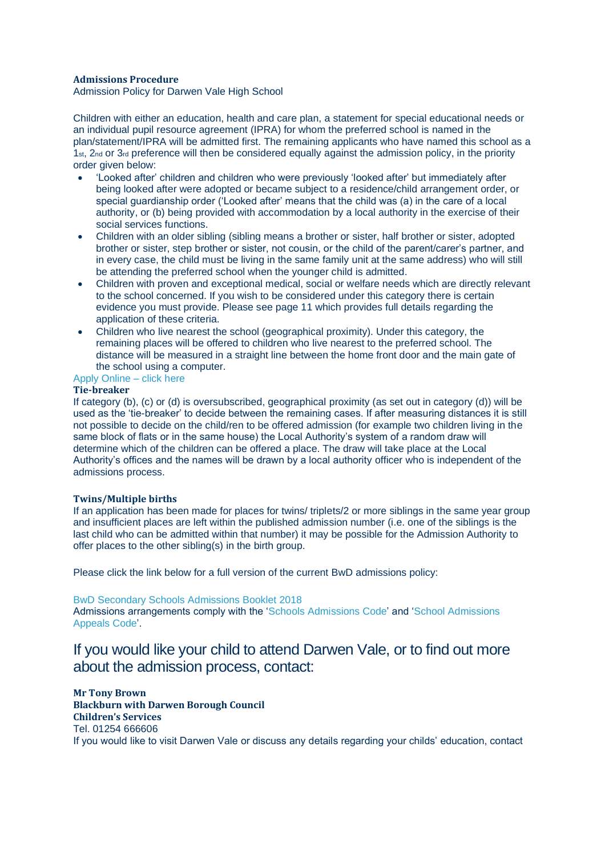# **Admissions Procedure**

Admission Policy for Darwen Vale High School

Children with either an education, health and care plan, a statement for special educational needs or an individual pupil resource agreement (IPRA) for whom the preferred school is named in the plan/statement/IPRA will be admitted first. The remaining applicants who have named this school as a 1st, 2nd or 3rd preference will then be considered equally against the admission policy, in the priority order given below:

- 'Looked after' children and children who were previously 'looked after' but immediately after being looked after were adopted or became subject to a residence/child arrangement order, or special guardianship order ('Looked after' means that the child was (a) in the care of a local authority, or (b) being provided with accommodation by a local authority in the exercise of their social services functions.
- Children with an older sibling (sibling means a brother or sister, half brother or sister, adopted brother or sister, step brother or sister, not cousin, or the child of the parent/carer's partner, and in every case, the child must be living in the same family unit at the same address) who will still be attending the preferred school when the younger child is admitted.
- Children with proven and exceptional medical, social or welfare needs which are directly relevant to the school concerned. If you wish to be considered under this category there is certain evidence you must provide. Please see page 11 which provides full details regarding the application of these criteria.
- Children who live nearest the school (geographical proximity). Under this category, the remaining places will be offered to children who live nearest to the preferred school. The distance will be measured in a straight line between the home front door and the main gate of the school using a computer.

# Apply [Online](https://enrol.blackburn.gov.uk/Website/) – click here

# **Tie-breaker**

If category (b), (c) or (d) is oversubscribed, geographical proximity (as set out in category (d)) will be used as the 'tie-breaker' to decide between the remaining cases. If after measuring distances it is still not possible to decide on the child/ren to be offered admission (for example two children living in the same block of flats or in the same house) the Local Authority's system of a random draw will determine which of the children can be offered a place. The draw will take place at the Local Authority's offices and the names will be drawn by a local authority officer who is independent of the admissions process.

### **Twins/Multiple births**

If an application has been made for places for twins/ triplets/2 or more siblings in the same year group and insufficient places are left within the published admission number (i.e. one of the siblings is the last child who can be admitted within that number) it may be possible for the Admission Authority to offer places to the other sibling(s) in the birth group.

Please click the link below for a full version of the current BwD admissions policy:

#### BwD Secondary Schools [Admissions](http://www.darwenvale.com/wp-content/uploads/Secondary-School-Admissions-Booklet-2018.pdf) Booklet 2018

Admissions arrangements comply with the 'Schools [Admissions](https://www.gov.uk/government/uploads/system/uploads/attachment_data/file/389388/School_Admissions_Code_2014_-_19_Dec.pdf) Code' and 'School [Admissions](https://www.gov.uk/government/uploads/system/uploads/attachment_data/file/275897/school_admission_appeals_code_1_february_2012.pdf) [Appeals](https://www.gov.uk/government/uploads/system/uploads/attachment_data/file/275897/school_admission_appeals_code_1_february_2012.pdf) Code'.

# If you would like your child to attend Darwen Vale, or to find out more about the admission process, contact:

**Mr Tony Brown Blackburn with Darwen Borough Council Children's Services** Tel. 01254 666606 If you would like to visit Darwen Vale or discuss any details regarding your childs' education, contact